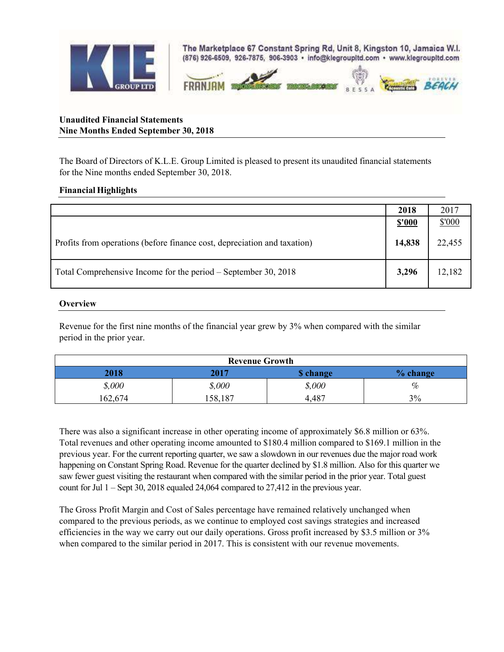

## **Unaudited Financial Statements Nine Months Ended September 30, 2018**

The Board of Directors of K.L.E. Group Limited is pleased to present its unaudited financial statements for the Nine months ended September 30, 2018.

## **Financial Highlights**

|                                                                          | 2018         | 2017   |
|--------------------------------------------------------------------------|--------------|--------|
|                                                                          | <u>s'000</u> | \$'000 |
| Profits from operations (before finance cost, depreciation and taxation) | 14,838       | 22,455 |
| Total Comprehensive Income for the period – September 30, 2018           | 3,296        | 12,182 |

## **Overview**

Revenue for the first nine months of the financial year grew by 3% when compared with the similar period in the prior year.

| <b>Revenue Growth</b> |         |          |          |
|-----------------------|---------|----------|----------|
| 2018                  | 2017    | S change | % change |
| \$,000                | \$,000  | \$,000   | %        |
| 162,674               | 158,187 | 4,487    | 3%       |

There was also a significant increase in other operating income of approximately \$6.8 million or 63%. Total revenues and other operating income amounted to \$180.4 million compared to \$169.1 million in the previous year. For the current reporting quarter, we saw a slowdown in our revenues due the major road work happening on Constant Spring Road. Revenue for the quarter declined by \$1.8 million. Also for this quarter we saw fewer guest visiting the restaurant when compared with the similar period in the prior year. Total guest count for Jul 1 – Sept 30, 2018 equaled 24,064 compared to 27,412 in the previous year.

The Gross Profit Margin and Cost of Sales percentage have remained relatively unchanged when compared to the previous periods, as we continue to employed cost savings strategies and increased efficiencies in the way we carry out our daily operations. Gross profit increased by \$3.5 million or 3% when compared to the similar period in 2017. This is consistent with our revenue movements.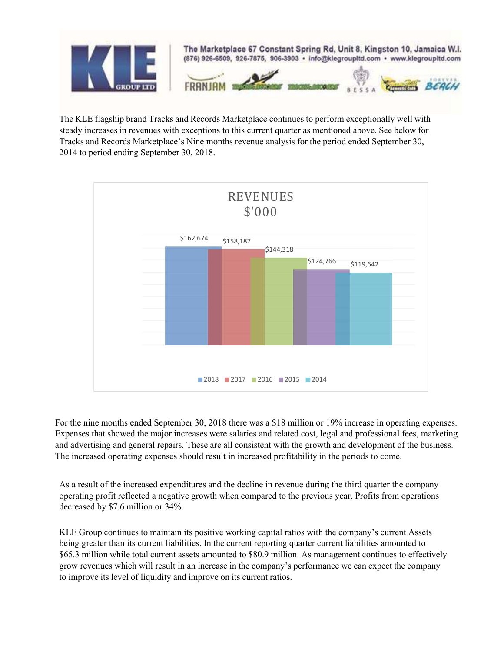

The KLE flagship brand Tracks and Records Marketplace continues to perform exceptionally well with steady increases in revenues with exceptions to this current quarter as mentioned above. See below for Tracks and Records Marketplace's Nine months revenue analysis for the period ended September 30, 2014 to period ending September 30, 2018.



For the nine months ended September 30, 2018 there was a \$18 million or 19% increase in operating expenses. Expenses that showed the major increases were salaries and related cost, legal and professional fees, marketing and advertising and general repairs. These are all consistent with the growth and development of the business. The increased operating expenses should result in increased profitability in the periods to come.

As a result of the increased expenditures and the decline in revenue during the third quarter the company operating profit reflected a negative growth when compared to the previous year. Profits from operations decreased by \$7.6 million or 34%.

KLE Group continues to maintain its positive working capital ratios with the company's current Assets being greater than its current liabilities. In the current reporting quarter current liabilities amounted to \$65.3 million while total current assets amounted to \$80.9 million. As management continues to effectively grow revenues which will result in an increase in the company's performance we can expect the company to improve its level of liquidity and improve on its current ratios.